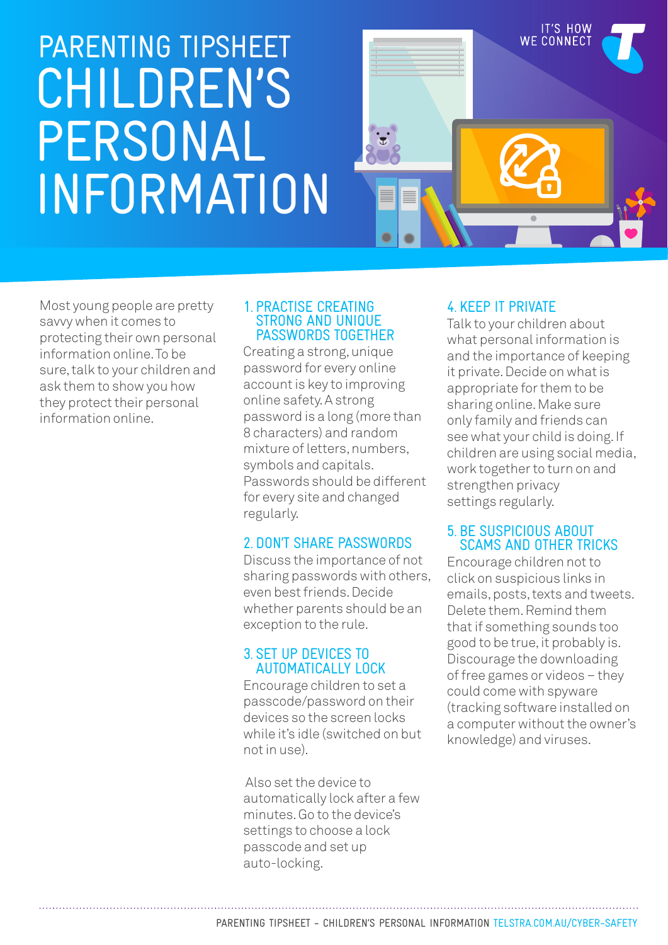# CHILDREN'S PERSONAL INFORMATION PARENTING TIPSHEET



Most young people are pretty savvy when it comes to protecting their own personal information online. To be sure, talk to your children and ask them to show you how they protect their personal information online.

#### 1. PRACTISE CREATING STRONG AND UNIQUE PASSWORDS TOGETHER

Creating a strong, unique password for every online account is key to improving online safety. A strong password is a long (more than 8 characters) and random mixture of letters, numbers, symbols and capitals. Passwords should be different for every site and changed regularly.

# 2. DON'T SHARE PASSWORDS

Discuss the importance of not sharing passwords with others, even best friends. Decide whether parents should be an exception to the rule.

#### 3. SET UP DEVICES TO AUTOMATICALLY LOCK

Encourage children to set a passcode/password on their devices so the screen locks while it's idle (switched on but not in use).

 Also set the device to automatically lock after a few minutes. Go to the device's settings to choose a lock passcode and set up auto-locking.

# 4. KEEP IT PRIVATE

Talk to your children about what personal information is and the importance of keeping it private. Decide on what is appropriate for them to be sharing online. Make sure only family and friends can see what your child is doing. If children are using social media, work together to turn on and strengthen privacy settings regularly.

#### 5. BE SUSPICIOUS ABOUT SCAMS AND OTHER TRICKS

Encourage children not to click on suspicious links in emails, posts, texts and tweets. Delete them. Remind them that if something sounds too good to be true, it probably is. Discourage the downloading of free games or videos – they could come with spyware (tracking software installed on a computer without the owner's knowledge) and viruses.